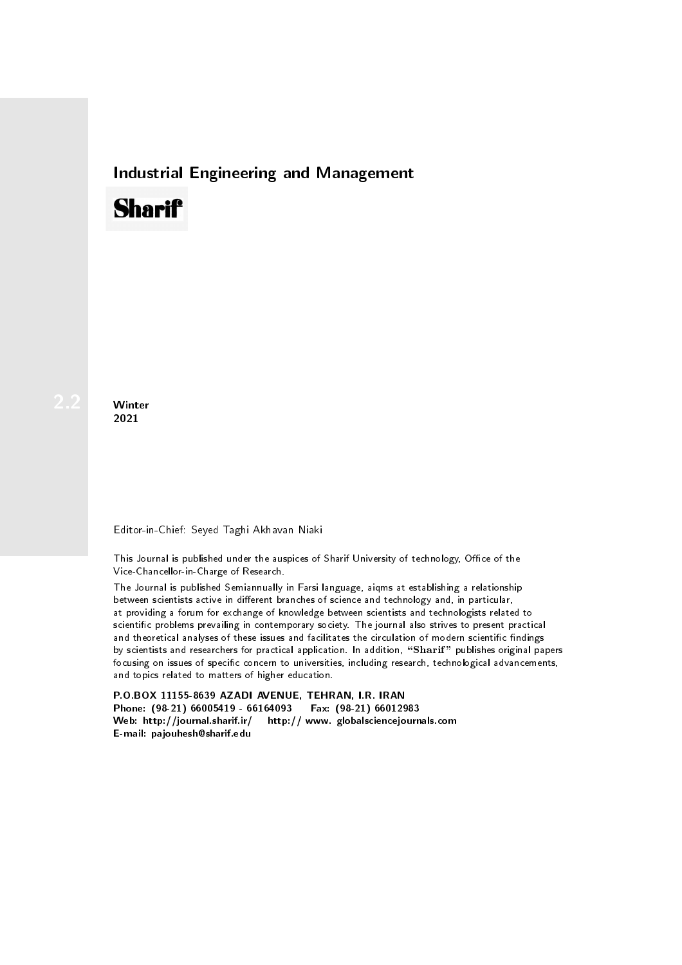## Industrial Engineering and Management

## **Sharif**

Winter 2021

## Editor-in-Chief: Seyed Taghi Akhavan Niaki

This Journal is published under the auspices of Sharif University of technology, Office of the Vice-Chancellor-in-Charge of Research.

The Journal is published Semiannually in Farsi language, aiqms at establishing a relationship between scientists active in different branches of science and technology and, in particular, at providing a forum for exchange of knowledge between scientists and technologists related to scientic problems prevailing in contemporary society. The journal also strives to present practical and theoretical analyses of these issues and facilitates the circulation of modern scientific findings by scientists and researchers for practical application. In addition, "Sharif" publishes original papers focusing on issues of specific concern to universities, including research, technological advancements, and topics related to matters of higher education.

P.O.BOX 11155-8639 AZADI AVENUE, TEHRAN, I.R. IRAN Phone: (98-21) 66005419 - 66164093 Fax: (98-21) 66012983 Web: http://journal.sharif.ir/ http:// www. globalsciencejournals.com E-mail: pajouhesh@sharif.edu